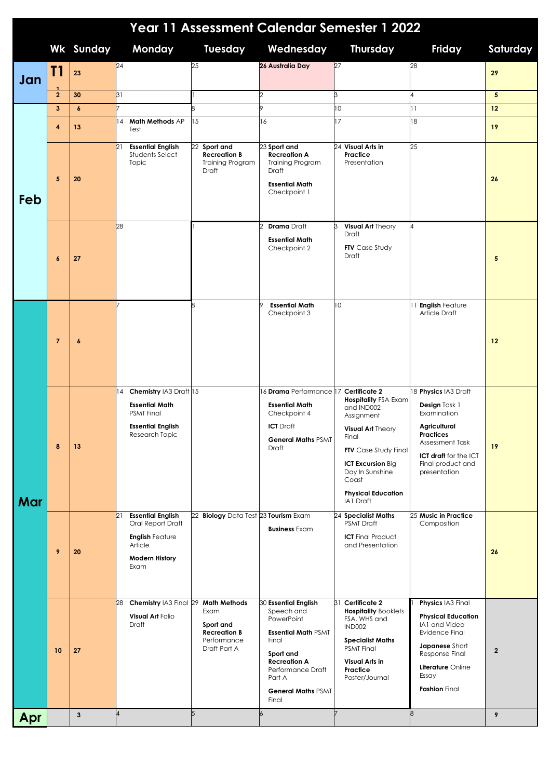| Year 11 Assessment Calendar Semester 1 2022 |                  |                  |                                                                                                                           |                                                                                                |                                                                                                                                                                                           |                                                                                                                                                                                                                        |                                                                                                                                                                      |                |  |  |
|---------------------------------------------|------------------|------------------|---------------------------------------------------------------------------------------------------------------------------|------------------------------------------------------------------------------------------------|-------------------------------------------------------------------------------------------------------------------------------------------------------------------------------------------|------------------------------------------------------------------------------------------------------------------------------------------------------------------------------------------------------------------------|----------------------------------------------------------------------------------------------------------------------------------------------------------------------|----------------|--|--|
|                                             |                  | <b>Wk Sunday</b> | Monday                                                                                                                    | <b>Tuesday</b>                                                                                 | Wednesday                                                                                                                                                                                 | <b>Thursday</b>                                                                                                                                                                                                        | Friday                                                                                                                                                               | Saturday       |  |  |
| Jan                                         | T1               | 23               | 24                                                                                                                        | 25                                                                                             | 26 Australia Day                                                                                                                                                                          | 27                                                                                                                                                                                                                     | 28                                                                                                                                                                   | 29             |  |  |
|                                             | $\overline{2}$   | 30               | 31                                                                                                                        |                                                                                                |                                                                                                                                                                                           | 3                                                                                                                                                                                                                      | 4                                                                                                                                                                    | 5 <sup>1</sup> |  |  |
| Feb                                         | $\mathbf{3}$     | $\boldsymbol{6}$ | Math Methods AP                                                                                                           | 15                                                                                             |                                                                                                                                                                                           | 10<br>17                                                                                                                                                                                                               | 11                                                                                                                                                                   | 12             |  |  |
|                                             | 4                | 13               | 14<br>Test                                                                                                                |                                                                                                | 16                                                                                                                                                                                        |                                                                                                                                                                                                                        | 18                                                                                                                                                                   | 19             |  |  |
|                                             | 5                | 20               | 21<br><b>Essential English</b><br><b>Students Select</b><br>Topic                                                         | 22 Sport and<br><b>Recreation B</b><br>Training Program<br>Draft                               | 23 Sport and<br><b>Recreation A</b><br><b>Training Program</b><br>Draft<br><b>Essential Math</b><br>Checkpoint 1                                                                          | 24 Visual Arts in<br>Practice<br>Presentation                                                                                                                                                                          | 25                                                                                                                                                                   | 26             |  |  |
|                                             | $\boldsymbol{6}$ | 27               | 28                                                                                                                        |                                                                                                | <b>Drama</b> Draft<br><b>Essential Math</b><br>Checkpoint 2                                                                                                                               | Visual Art Theory<br>З<br>Draft<br><b>FTV</b> Case Study<br><b>Draft</b>                                                                                                                                               |                                                                                                                                                                      | 5              |  |  |
| Mar                                         | $\overline{7}$   | $\pmb{6}$        |                                                                                                                           |                                                                                                | <b>Essential Math</b><br>Checkpoint 3                                                                                                                                                     | 10                                                                                                                                                                                                                     | 11 English Feature<br>Article Draft                                                                                                                                  | 12             |  |  |
|                                             | 8                | 13               | Chemistry IA3 Draft 15<br>14<br><b>Essential Math</b><br><b>PSMT</b> Final<br><b>Essential English</b><br>Research Topic  |                                                                                                | 16 Drama Performance 17 Certificate 2<br><b>Essential Math</b><br>Checkpoint 4<br><b>ICT</b> Draft<br><b>General Maths PSMT</b><br>Draft                                                  | <b>Hospitality FSA Exam</b><br>and IND002<br>Assignment<br>Visual Art Theory<br>Final<br><b>FTV</b> Case Study Final<br><b>ICT Excursion Big</b><br>Day In Sunshine<br>Coast<br><b>Physical Education</b><br>IA1 Draft | 18 Physics IA3 Draft<br>Design Task 1<br>Examination<br>Agricultural<br>Practices<br>Assessment Task<br>ICT draft for the ICT<br>Final product and<br>presentation   | 19             |  |  |
|                                             | 9                | 20               | <b>Essential English</b><br>21<br>Oral Report Draft<br><b>English Feature</b><br>Article<br><b>Modern History</b><br>Exam | 22 Biology Data Test 23 Tourism Exam                                                           | <b>Business Exam</b>                                                                                                                                                                      | 24 Specialist Maths<br><b>PSMT</b> Draft<br><b>ICT</b> Final Product<br>and Presentation                                                                                                                               | 25 Music in Practice<br>Composition                                                                                                                                  | 26             |  |  |
|                                             | 10               | 27               | Chemistry IA3 Final 29<br>28<br>Visual Art Folio<br>Draft                                                                 | <b>Math Methods</b><br>Exam<br>Sport and<br><b>Recreation B</b><br>Performance<br>Draft Part A | 30 Essential English<br>Speech and<br>PowerPoint<br><b>Essential Math PSMT</b><br>Final<br>Sport and<br>Recreation A<br>Performance Draft<br>Part A<br><b>General Maths PSMT</b><br>Final | 31 Certificate 2<br><b>Hospitality Booklets</b><br>FSA, WHS and<br><b>IND002</b><br><b>Specialist Maths</b><br><b>PSMT Final</b><br>Visual Arts in<br>Practice<br>Poster/Journal                                       | Physics IA3 Final<br><b>Physical Education</b><br>IA1 and Video<br>Evidence Final<br>Japanese Short<br>Response Final<br>Literature Online<br>Essay<br>Fashion Final | $\overline{2}$ |  |  |
| Apr                                         |                  | $\mathbf{3}$     | $\overline{4}$                                                                                                            | 5                                                                                              |                                                                                                                                                                                           |                                                                                                                                                                                                                        | 8                                                                                                                                                                    | 9              |  |  |